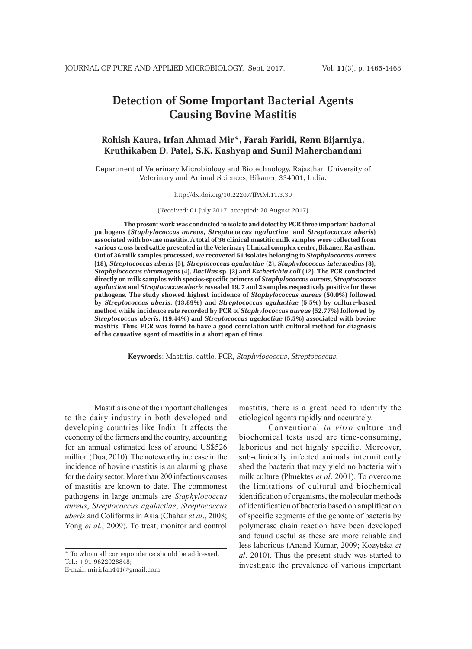# **Detection of Some Important Bacterial Agents Causing Bovine Mastitis**

# **Rohish Kaura, Irfan Ahmad Mir\*, Farah Faridi, Renu Bijarniya, Kruthikaben D. Patel, S.K. Kashyap and Sunil Maherchandani**

Department of Veterinary Microbiology and Biotechnology, Rajasthan University of Veterinary and Animal Sciences, Bikaner, 334001, India.

#### http://dx.doi.org/10.22207/JPAM.11.3.30

(Received: 01 July 2017; accepted: 20 August 2017)

**The present work was conducted to isolate and detect by PCR three important bacterial pathogens (***Staphylococcus aureus***,** *Streptococcus agalactiae***, and** *Streptococcus uberis***) associated with bovine mastitis. A total of 36 clinical mastitic milk samples were collected from various cross bred cattle presented in the Veterinary Clinical complex centre, Bikaner, Rajasthan. Out of 36 milk samples processed, we recovered 51 isolates belonging to** *Staphylococcus aureus*  **(18),** *Streptococcus uberis* **(5),** *Streptococcus agalactiae* **(2),** *Staphylococcus intermedius* **(8),**  *Staphylococcus chromogens* **(4),** *Bacillus* **sp. (2) and** *Escherichia coli* **(12). The PCR conducted directly on milk samples with species-specific primers of** *Staphylococcus aureus***,** *Streptococcus agalactiae* **and** *Streptococcus uberis* **revealed 19, 7 and 2 samples respectively positive for these pathogens. The study showed highest incidence of** *Staphylococcus aureus* **(50.0%) followed by** *Streptococcus uberis***, (13.89%) and** *Streptococcus agalactiae* **(5.5%) by culture-based method while incidence rate recorded by PCR of** *Staphylococcus aureus* **(52.77%) followed by**  *Streptococcus uberis***, (19.44%) and** *Streptococcus agalactiae* **(5.5%) associated with bovine mastitis. Thus, PCR was found to have a good correlation with cultural method for diagnosis of the causative agent of mastitis in a short span of time.**

**Keywords**: Mastitis, cattle, PCR, *Staphylococcus*, *Streptococcus.*

Mastitis is one of the important challenges to the dairy industry in both developed and developing countries like India. It affects the economy of the farmers and the country, accounting for an annual estimated loss of around US\$526 million (Dua, 2010). The noteworthy increase in the incidence of bovine mastitis is an alarming phase for the dairy sector. More than 200 infectious causes of mastitis are known to date. The commonest pathogens in large animals are *Staphylococcus aureus*, *Streptococcus agalactiae*, *Streptococcus uberis* and Coliforms in Asia (Chahar *et al*., 2008; Yong *et al*., 2009). To treat, monitor and control

\* To whom all correspondence should be addressed. Tel.: +91-9622028848;

E-mail: mirirfan441@gmail.com

mastitis, there is a great need to identify the etiological agents rapidly and accurately.

Conventional *in vitro* culture and biochemical tests used are time-consuming, laborious and not highly specific. Moreover, sub-clinically infected animals intermittently shed the bacteria that may yield no bacteria with milk culture (Phuektes *et al*. 2001). To overcome the limitations of cultural and biochemical identification of organisms, the molecular methods of identification of bacteria based on amplification of specific segments of the genome of bacteria by polymerase chain reaction have been developed and found useful as these are more reliable and less laborious (Anand-Kumar, 2009; Kozytska *et al*. 2010). Thus the present study was started to investigate the prevalence of various important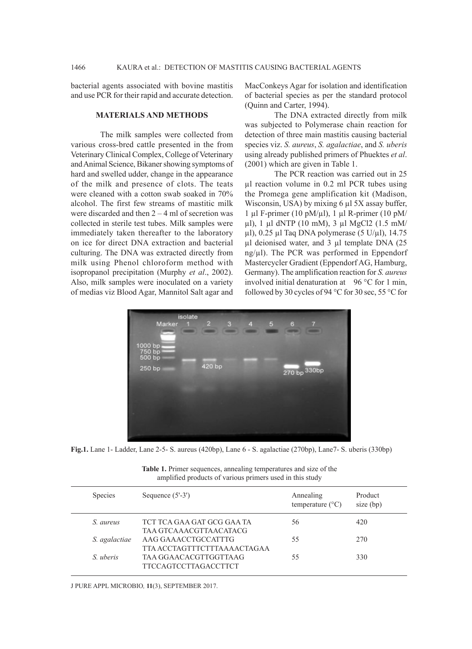bacterial agents associated with bovine mastitis and use PCR for their rapid and accurate detection.

### **MATERIALS AND METHODS**

The milk samples were collected from various cross-bred cattle presented in the from Veterinary Clinical Complex, College of Veterinary and Animal Science, Bikaner showing symptoms of hard and swelled udder, change in the appearance of the milk and presence of clots. The teats were cleaned with a cotton swab soaked in 70% alcohol. The first few streams of mastitic milk were discarded and then  $2 - 4$  ml of secretion was collected in sterile test tubes. Milk samples were immediately taken thereafter to the laboratory on ice for direct DNA extraction and bacterial culturing. The DNA was extracted directly from milk using Phenol chloroform method with isopropanol precipitation (Murphy *et al*., 2002). Also, milk samples were inoculated on a variety of medias viz Blood Agar, Mannitol Salt agar and

MacConkeys Agar for isolation and identification of bacterial species as per the standard protocol (Quinn and Carter, 1994).

The DNA extracted directly from milk was subjected to Polymerase chain reaction for detection of three main mastitis causing bacterial species viz. *S. aureus*, *S. agalactiae*, and *S. uberis* using already published primers of Phuektes *et al*. (2001) which are given in Table 1.

The PCR reaction was carried out in 25 µl reaction volume in 0.2 ml PCR tubes using the Promega gene amplification kit (Madison, Wisconsin, USA) by mixing 6 µl 5X assay buffer, 1 µl F-primer (10 pM/ $\mu$ l), 1 µl R-primer (10 pM/ µl), 1 µl dNTP (10 mM), 3 µl MgCl2 (1.5 mM/  $\mu$ l), 0.25  $\mu$ l Taq DNA polymerase (5 U/ $\mu$ l), 14.75 µl deionised water, and 3 µl template DNA (25  $ng<sub>\mu</sub>l$ ). The PCR was performed in Eppendorf Mastercycler Gradient (Eppendorf AG, Hamburg, Germany). The amplification reaction for *S. aureus* involved initial denaturation at  $96^{\circ}$ C for 1 min, followed by 30 cycles of 94 °C for 30 sec, 55 °C for



**Fig.1.** Lane 1- Ladder, Lane 2-5- S. aureus (420bp), Lane 6 - S. agalactiae (270bp), Lane7- S. uberis (330bp)

**Table 1.** Primer sequences, annealing temperatures and size of the amplified products of various primers used in this study

| <b>Species</b> | Sequence $(5'-3')$                                   | Annealing<br>temperature $(^{\circ}C)$ | Product<br>size (bp) |
|----------------|------------------------------------------------------|----------------------------------------|----------------------|
| S. aureus      | TCT TCA GAA GAT GCG GAA TA<br>TAA GTCAAACGTTAACATACG | 56                                     | 420                  |
| S. agalactiae  | AAG GAAACCTGCCATTTG<br>TTA ACCTAGTTTCTTTAAAACTAGAA   | 55                                     | 270                  |
| S. uberis      | TAA GGAACACGTTGGTTAAG<br><b>TTCCAGTCCTTAGACCTTCT</b> | 55                                     | 330                  |

J PURE APPL MICROBIO*,* **11**(3), SEPTEMBER 2017.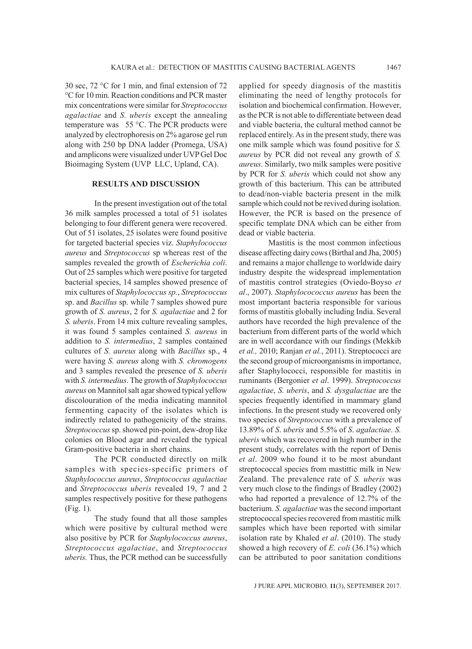30 sec, 72 °C for 1 min, and final extension of 72 °C for 10 min. Reaction conditions and PCR master mix concentrations were similar for *Streptococcus agalactiae* and *S. uberis* except the annealing temperature was 55 °C. The PCR products were analyzed by electrophoresis on 2% agarose gel run along with 250 bp DNA ladder (Promega, USA) and amplicons were visualized under UVP Gel Doc Bioimaging System (UVP LLC, Upland, CA).

## **RESULTS AND DISCUSSION**

In the present investigation out of the total 36 milk samples processed a total of 51 isolates belonging to four different genera were recovered. Out of 51 isolates, 25 isolates were found positive for targeted bacterial species viz. *Staphylococcus aureus* and *Streptococcus* sp whereas rest of the samples revealed the growth of *Escherichia coli*. Out of 25 samples which were positive for targeted bacterial species, 14 samples showed presence of mix cultures of *Staphylococcus sp.*, *Streptococcus* sp. and *Bacillus* sp. while 7 samples showed pure growth of *S. aureus*, 2 for *S. agalactiae* and 2 for *S. uberis*. From 14 mix culture revealing samples, it was found 5 samples contained *S. aureus* in addition to *S. intermedius*, 2 samples contained cultures of *S. aureus* along with *Bacillus* sp., 4 were having *S. aureus* along with *S. chromogens* and 3 samples revealed the presence of *S. uberis*  with *S. intermedius*. The growth of *Staphylococcus aureus* on Mannitol salt agar showed typical yellow discolouration of the media indicating mannitol fermenting capacity of the isolates which is indirectly related to pathogenicity of the strains. *Streptococcus* sp. showed pin-point, dew-drop like colonies on Blood agar and revealed the typical Gram-positive bacteria in short chains.

The PCR conducted directly on milk samples with species-specific primers of *Staphylococcus aureus*, *Streptococcus agalactiae*  and *Streptococcus uberis* revealed 19, 7 and 2 samples respectively positive for these pathogens (Fig. 1).

The study found that all those samples which were positive by cultural method were also positive by PCR for *Staphylococcus aureus*, *Streptococcus agalactiae*, and *Streptococcus uberis.* Thus, the PCR method can be successfully

applied for speedy diagnosis of the mastitis eliminating the need of lengthy protocols for isolation and biochemical confirmation. However, as the PCR is not able to differentiate between dead and viable bacteria, the cultural method cannot be replaced entirely. As in the present study, there was one milk sample which was found positive for *S. aureus* by PCR did not reveal any growth of *S. aureus*. Similarly, two milk samples were positive by PCR for *S. uberis* which could not show any growth of this bacterium. This can be attributed to dead/non-viable bacteria present in the milk sample which could not be revived during isolation. However, the PCR is based on the presence of specific template DNA which can be either from dead or viable bacteria.

Mastitis is the most common infectious disease affecting dairy cows (Birthal and Jha, 2005) and remains a major challenge to worldwide dairy industry despite the widespread implementation of mastitis control strategies (Oviedo-Boyso *et al*., 2007). *Staphylocococcus aureus* has been the most important bacteria responsible for various forms of mastitis globally including India. Several authors have recorded the high prevalence of the bacterium from different parts of the world which are in well accordance with our findings (Mekkib *et al.,* 2010; Ranjan *et al.*, 2011). Streptococci are the second group of microorganisms in importance, after Staphylococci, responsible for mastitis in ruminants (Bergonier *et al*. 1999). *Streptococcus agalactiae*, *S. uberis*, and *S. dysgalactiae* are the species frequently identified in mammary gland infections. In the present study we recovered only two species of *Streptococcus* with a prevalence of 13.89% of *S*. *uberis* and 5.5% of *S*. *agalactiae*. *S. uberis* which was recovered in high number in the present study, correlates with the report of Denis *et al*. 2009 who found it to be most abundant streptococcal species from mastittic milk in New Zealand. The prevalence rate of *S. uberis* was very much close to the findings of Bradley (2002) who had reported a prevalence of 12.7% of the bacterium. *S. agalactiae* was the second important streptococcal species recovered from mastitic milk samples which have been reported with similar isolation rate by Khaled *et al*. (2010). The study showed a high recovery of *E. coli* (36.1%) which can be attributed to poor sanitation conditions